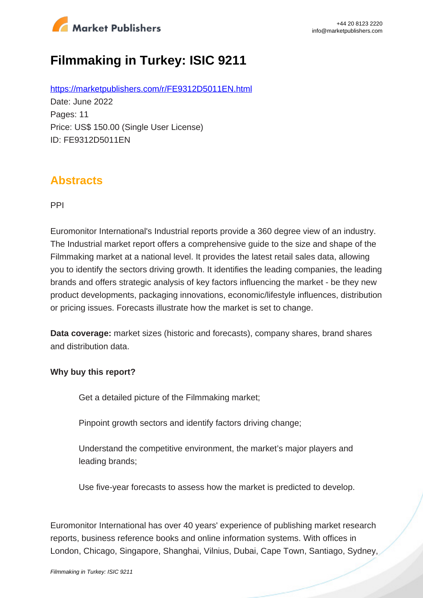

# **Filmmaking in Turkey: ISIC 9211**

https://marketpublishers.com/r/FE9312D5011EN.html Date: June 2022 Pages: 11 Price: US\$ 150.00 (Single User License) ID: FE9312D5011EN

### **Abstracts**

PPI

Euromonitor International's Industrial reports provide a 360 degree view of an industry. The Industrial market report offers a comprehensive guide to the size and shape of the Filmmaking market at a national level. It provides the latest retail sales data, allowing you to identify the sectors driving growth. It identifies the leading companies, the leading brands and offers strategic analysis of key factors influencing the market - be they new product developments, packaging innovations, economic/lifestyle influences, distribution or pricing issues. Forecasts illustrate how the market is set to change.

**Data coverage:** market sizes (historic and forecasts), company shares, brand shares and distribution data.

#### **Why buy this report?**

Get a detailed picture of the Filmmaking market;

Pinpoint growth sectors and identify factors driving change;

Understand the competitive environment, the market's major players and leading brands;

Use five-year forecasts to assess how the market is predicted to develop.

Euromonitor International has over 40 years' experience of publishing market research reports, business reference books and online information systems. With offices in London, Chicago, Singapore, Shanghai, Vilnius, Dubai, Cape Town, Santiago, Sydney,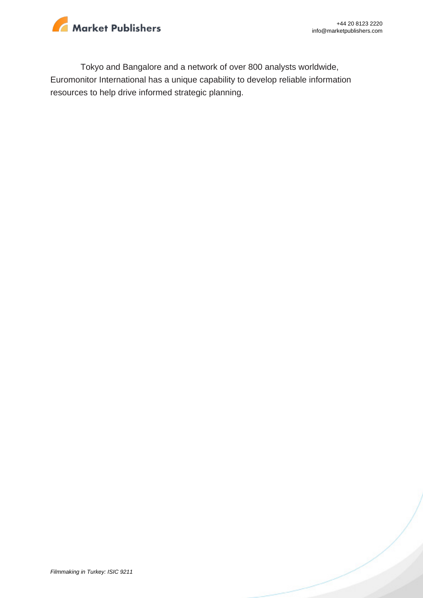

Tokyo and Bangalore and a network of over 800 analysts worldwide, Euromonitor International has a unique capability to develop reliable information resources to help drive informed strategic planning.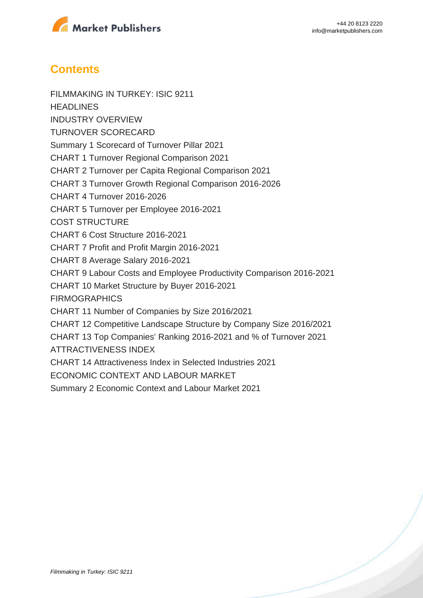

## **Contents**

FILMMAKING IN TURKEY: ISIC 9211 **HEADLINES** INDUSTRY OVERVIEW TURNOVER SCORECARD Summary 1 Scorecard of Turnover Pillar 2021 CHART 1 Turnover Regional Comparison 2021 CHART 2 Turnover per Capita Regional Comparison 2021 CHART 3 Turnover Growth Regional Comparison 2016-2026 CHART 4 Turnover 2016-2026 CHART 5 Turnover per Employee 2016-2021 COST STRUCTURE CHART 6 Cost Structure 2016-2021 CHART 7 Profit and Profit Margin 2016-2021 CHART 8 Average Salary 2016-2021 CHART 9 Labour Costs and Employee Productivity Comparison 2016-2021 CHART 10 Market Structure by Buyer 2016-2021 FIRMOGRAPHICS CHART 11 Number of Companies by Size 2016/2021 CHART 12 Competitive Landscape Structure by Company Size 2016/2021 CHART 13 Top Companies' Ranking 2016-2021 and % of Turnover 2021 ATTRACTIVENESS INDEX CHART 14 Attractiveness Index in Selected Industries 2021 ECONOMIC CONTEXT AND LABOUR MARKET Summary 2 Economic Context and Labour Market 2021